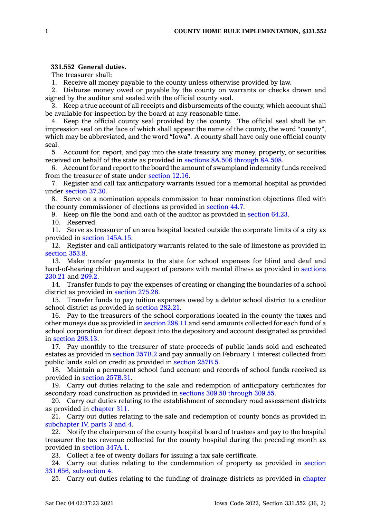## **331.552 General duties.**

The treasurer shall:

1. Receive all money payable to the county unless otherwise provided by law.

2. Disburse money owed or payable by the county on warrants or checks drawn and signed by the auditor and sealed with the official county seal.

3. Keep <sup>a</sup> true account of all receipts and disbursements of the county, which account shall be available for inspection by the board at any reasonable time.

4. Keep the official county seal provided by the county. The official seal shall be an impression seal on the face of which shall appear the name of the county, the word "county", which may be abbreviated, and the word "Iowa". A county shall have only one official county seal.

5. Account for, report, and pay into the state treasury any money, property, or securities received on behalf of the state as provided in sections 8A.506 [through](https://www.legis.iowa.gov/docs/code/8A.506.pdf) 8A.508.

6. Account for and report to the board the amount of swampland indemnity funds received from the treasurer of state under [section](https://www.legis.iowa.gov/docs/code/12.16.pdf) 12.16.

7. Register and call tax anticipatory warrants issued for <sup>a</sup> memorial hospital as provided under [section](https://www.legis.iowa.gov/docs/code/37.30.pdf) 37.30.

8. Serve on <sup>a</sup> nomination appeals commission to hear nomination objections filed with the county commissioner of elections as provided in [section](https://www.legis.iowa.gov/docs/code/44.7.pdf) 44.7.

9. Keep on file the bond and oath of the auditor as provided in [section](https://www.legis.iowa.gov/docs/code/64.23.pdf) 64.23.

10. Reserved.

11. Serve as treasurer of an area hospital located outside the corporate limits of <sup>a</sup> city as provided in section [145A.15](https://www.legis.iowa.gov/docs/code/145A.15.pdf).

12. Register and call anticipatory warrants related to the sale of limestone as provided in [section](https://www.legis.iowa.gov/docs/code/353.8.pdf) 353.8.

13. Make transfer payments to the state for school expenses for blind and deaf and hard-of-hearing children and support of persons with mental illness as provided in [sections](https://www.legis.iowa.gov/docs/code/230.21.pdf) [230.21](https://www.legis.iowa.gov/docs/code/230.21.pdf) and [269.2](https://www.legis.iowa.gov/docs/code/269.2.pdf).

14. Transfer funds to pay the expenses of creating or changing the boundaries of <sup>a</sup> school district as provided in [section](https://www.legis.iowa.gov/docs/code/275.26.pdf) 275.26.

15. Transfer funds to pay tuition expenses owed by <sup>a</sup> debtor school district to <sup>a</sup> creditor school district as provided in [section](https://www.legis.iowa.gov/docs/code/282.21.pdf) 282.21.

16. Pay to the treasurers of the school corporations located in the county the taxes and other moneys due as provided in [section](https://www.legis.iowa.gov/docs/code/298.11.pdf) 298.11 and send amounts collected for each fund of <sup>a</sup> school corporation for direct deposit into the depository and account designated as provided in [section](https://www.legis.iowa.gov/docs/code/298.13.pdf) 298.13.

17. Pay monthly to the treasurer of state proceeds of public lands sold and escheated estates as provided in [section](https://www.legis.iowa.gov/docs/code/257B.2.pdf) 257B.2 and pay annually on February 1 interest collected from public lands sold on credit as provided in [section](https://www.legis.iowa.gov/docs/code/257B.5.pdf) 257B.5.

18. Maintain <sup>a</sup> permanent school fund account and records of school funds received as provided in section [257B.31](https://www.legis.iowa.gov/docs/code/257B.31.pdf).

19. Carry out duties relating to the sale and redemption of anticipatory certificates for secondary road construction as provided in sections 309.50 [through](https://www.legis.iowa.gov/docs/code/309.50.pdf) 309.55.

20. Carry out duties relating to the establishment of secondary road assessment districts as provided in [chapter](https://www.legis.iowa.gov/docs/code//311.pdf) 311.

21. Carry out duties relating to the sale and redemption of county bonds as provided in [subchapter](https://www.legis.iowa.gov/docs/code//331.pdf) IV, parts 3 and 4.

22. Notify the chairperson of the county hospital board of trustees and pay to the hospital treasurer the tax revenue collected for the county hospital during the preceding month as provided in [section](https://www.legis.iowa.gov/docs/code/347A.1.pdf) 347A.1.

23. Collect <sup>a</sup> fee of twenty dollars for issuing <sup>a</sup> tax sale certificate.

24. Carry out duties relating to the condemnation of property as provided in [section](https://www.legis.iowa.gov/docs/code/331.656.pdf) 331.656, [subsection](https://www.legis.iowa.gov/docs/code/331.656.pdf) 4.

25. Carry out duties relating to the funding of drainage districts as provided in [chapter](https://www.legis.iowa.gov/docs/code//468.pdf)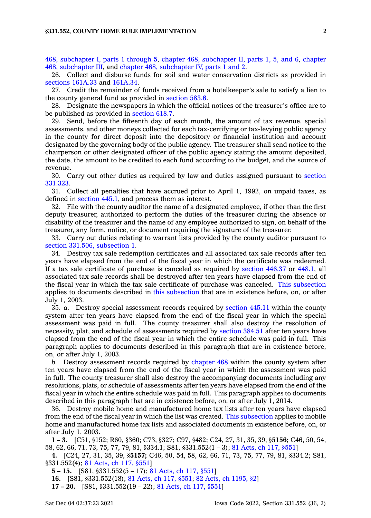468, [subchapter](https://www.legis.iowa.gov/docs/code//468.pdf) I, parts 1 through 5, chapter 468, [subchapter](https://www.legis.iowa.gov/docs/code//468.pdf) II, parts 1, 5, and 6, [chapter](https://www.legis.iowa.gov/docs/code//468.pdf) 468, [subchapter](https://www.legis.iowa.gov/docs/code//468.pdf) III, and chapter 468, [subchapter](https://www.legis.iowa.gov/docs/code//468.pdf) IV, parts 1 and 2.

26. Collect and disburse funds for soil and water conservation districts as provided in [sections](https://www.legis.iowa.gov/docs/code/161A.33.pdf) 161A.33 and [161A.34](https://www.legis.iowa.gov/docs/code/161A.34.pdf).

27. Credit the remainder of funds received from <sup>a</sup> hotelkeeper's sale to satisfy <sup>a</sup> lien to the county general fund as provided in [section](https://www.legis.iowa.gov/docs/code/583.6.pdf) 583.6.

28. Designate the newspapers in which the official notices of the treasurer's office are to be published as provided in [section](https://www.legis.iowa.gov/docs/code/618.7.pdf) 618.7.

29. Send, before the fifteenth day of each month, the amount of tax revenue, special assessments, and other moneys collected for each tax-certifying or tax-levying public agency in the county for direct deposit into the depository or financial institution and account designated by the governing body of the public agency. The treasurer shall send notice to the chairperson or other designated officer of the public agency stating the amount deposited, the date, the amount to be credited to each fund according to the budget, and the source of revenue.

30. Carry out other duties as required by law and duties assigned pursuant to [section](https://www.legis.iowa.gov/docs/code/331.323.pdf) [331.323](https://www.legis.iowa.gov/docs/code/331.323.pdf).

31. Collect all penalties that have accrued prior to April 1, 1992, on unpaid taxes, as defined in [section](https://www.legis.iowa.gov/docs/code/445.1.pdf) 445.1, and process them as interest.

32. File with the county auditor the name of <sup>a</sup> designated employee, if other than the first deputy treasurer, authorized to perform the duties of the treasurer during the absence or disability of the treasurer and the name of any employee authorized to sign, on behalf of the treasurer, any form, notice, or document requiring the signature of the treasurer.

33. Carry out duties relating to warrant lists provided by the county auditor pursuant to section 331.506, [subsection](https://www.legis.iowa.gov/docs/code/331.506.pdf) 1.

34. Destroy tax sale redemption certificates and all associated tax sale records after ten years have elapsed from the end of the fiscal year in which the certificate was redeemed. If <sup>a</sup> tax sale certificate of purchase is canceled as required by [section](https://www.legis.iowa.gov/docs/code/446.37.pdf) 446.37 or [448.1](https://www.legis.iowa.gov/docs/code/448.1.pdf), all associated tax sale records shall be destroyed after ten years have elapsed from the end of the fiscal year in which the tax sale certificate of purchase was canceled. This [subsection](https://www.legis.iowa.gov/docs/code/331.552.pdf) applies to documents described in this [subsection](https://www.legis.iowa.gov/docs/code/331.552.pdf) that are in existence before, on, or after July 1, 2003.

35. *a.* Destroy special assessment records required by [section](https://www.legis.iowa.gov/docs/code/445.11.pdf) 445.11 within the county system after ten years have elapsed from the end of the fiscal year in which the special assessment was paid in full. The county treasurer shall also destroy the resolution of necessity, plat, and schedule of assessments required by [section](https://www.legis.iowa.gov/docs/code/384.51.pdf) 384.51 after ten years have elapsed from the end of the fiscal year in which the entire schedule was paid in full. This paragraph applies to documents described in this paragraph that are in existence before, on, or after July 1, 2003.

*b.* Destroy assessment records required by [chapter](https://www.legis.iowa.gov/docs/code//468.pdf) 468 within the county system after ten years have elapsed from the end of the fiscal year in which the assessment was paid in full. The county treasurer shall also destroy the accompanying documents including any resolutions, plats, or schedule of assessments after ten years have elapsed from the end of the fiscal year in which the entire schedule was paid in full. This paragraph applies to documents described in this paragraph that are in existence before, on, or after July 1, 2014.

36. Destroy mobile home and manufactured home tax lists after ten years have elapsed from the end of the fiscal year in which the list was created. This [subsection](https://www.legis.iowa.gov/docs/code/331.552.pdf) applies to mobile home and manufactured home tax lists and associated documents in existence before, on, or after July 1, 2003.

**1 – 3.** [C51, §152; R60, §360; C73, §327; C97, §482; C24, 27, 31, 35, 39, §**5156;** C46, 50, 54, 58, 62, 66, 71, 73, 75, 77, 79, 81, §334.1; S81, §331.552(1 – 3); 81 [Acts,](https://www.legis.iowa.gov/docs/acts/1981/CH0117.pdf) ch 117, §551]

**4.** [C24, 27, 31, 35, 39, §**5157;** C46, 50, 54, 58, 62, 66, 71, 73, 75, 77, 79, 81, §334.2; S81, §331.552(4); 81 [Acts,](https://www.legis.iowa.gov/docs/acts/1981/CH0117.pdf) ch 117, §551]

**5 – 15.** [S81, §331.552(5 – 17); 81 [Acts,](https://www.legis.iowa.gov/docs/acts/1981/CH0117.pdf) ch 117, §551]

**16.** [S81, §331.552(18); 81 [Acts,](https://www.legis.iowa.gov/docs/acts/1981/CH0117.pdf) ch 117, §551; 82 Acts, ch [1195,](https://www.legis.iowa.gov/docs/acts/1982/CH1195.pdf) §2]

**17 – 20.** [S81, §331.552(19 – 22); 81 [Acts,](https://www.legis.iowa.gov/docs/acts/1981/CH0117.pdf) ch 117, §551]